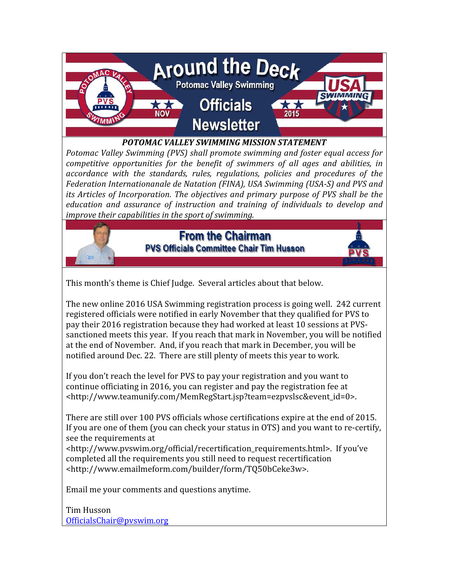

#### POTOMAC VALLEY SWIMMING MISSION STATEMENT

Potomac Valley Swimming (PVS) shall promote swimming and foster equal access for competitive opportunities for the benefit of swimmers of all ages and abilities, in accordance with the standards, rules, regulations, policies and procedures of the Federation Internationanale de Natation (FINA), USA Swimming (USA-S) and PVS and its Articles of Incorporation. The objectives and primary purpose of PVS shall be the education and assurance of instruction and training of individuals to develop and improve their capabilities in the sport of swimming.



### **From the Chairman PVS Officials Committee Chair Tim Husson**



The new online 2016 USA Swimming registration process is going well. 242 current registered officials were notified in early November that they qualified for PVS to pay their 2016 registration because they had worked at least 10 sessions at PVSsanctioned meets this year. If you reach that mark in November, you will be notified at the end of November. And, if you reach that mark in December, you will be notified around Dec. 22. There are still plenty of meets this year to work.

If you don't reach the level for PVS to pay your registration and you want to continue officiating in 2016, you can register and pay the registration fee at <http://www.teamunify.com/MemRegStart.jsp?team=ezpvslsc&event\_id=0>.

There are still over 100 PVS officials whose certifications expire at the end of 2015. If you are one of them (you can check your status in OTS) and you want to re-certify, see the requirements at

<http://www.pvswim.org/official/recertification\_requirements.html>. If you've completed all the requirements you still need to request recertification <http://www.emailmeform.com/builder/form/TQ50bCeke3w>.

Email me your comments and questions anytime.

Tim Husson OfficialsChair@pvswim.org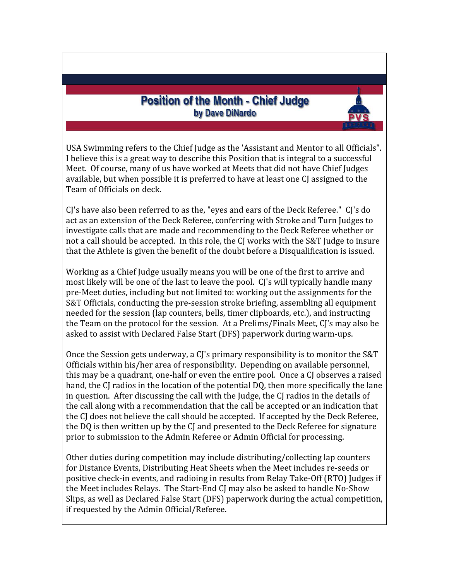### **Position of the Month - Chief Judge** by Dave DiNardo

USA Swimming refers to the Chief Judge as the 'Assistant and Mentor to all Officials". I believe this is a great way to describe this Position that is integral to a successful Meet. Of course, many of us have worked at Meets that did not have Chief Judges available, but when possible it is preferred to have at least one CJ assigned to the Team of Officials on deck.

CJ's have also been referred to as the, "eyes and ears of the Deck Referee." CJ's do act as an extension of the Deck Referee, conferring with Stroke and Turn Judges to investigate calls that are made and recommending to the Deck Referee whether or not a call should be accepted. In this role, the CJ works with the S&T Judge to insure that the Athlete is given the benefit of the doubt before a Disqualification is issued.

Working as a Chief Judge usually means you will be one of the first to arrive and most likely will be one of the last to leave the pool. CJ's will typically handle many pre-Meet duties, including but not limited to: working out the assignments for the S&T Officials, conducting the pre-session stroke briefing, assembling all equipment needed for the session (lap counters, bells, timer clipboards, etc.), and instructing the Team on the protocol for the session. At a Prelims/Finals Meet, CJ's may also be asked to assist with Declared False Start (DFS) paperwork during warm-ups.

Once the Session gets underway, a CJ's primary responsibility is to monitor the S&T Officials within his/her area of responsibility. Depending on available personnel, this may be a quadrant, one-half or even the entire pool. Once a CJ observes a raised hand, the CJ radios in the location of the potential DQ, then more specifically the lane in question. After discussing the call with the Judge, the CJ radios in the details of the call along with a recommendation that the call be accepted or an indication that the CJ does not believe the call should be accepted. If accepted by the Deck Referee, the DQ is then written up by the CJ and presented to the Deck Referee for signature prior to submission to the Admin Referee or Admin Official for processing.

Other duties during competition may include distributing/collecting lap counters for Distance Events, Distributing Heat Sheets when the Meet includes re-seeds or positive check-in events, and radioing in results from Relay Take-Off (RTO) Judges if the Meet includes Relays. The Start-End CJ may also be asked to handle No-Show Slips, as well as Declared False Start (DFS) paperwork during the actual competition, if requested by the Admin Official/Referee.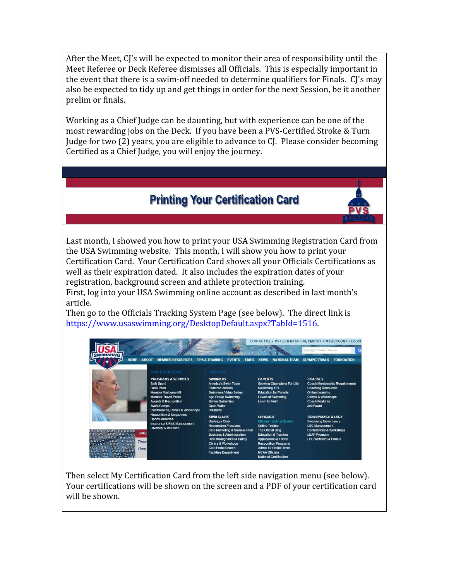After the Meet, CJ's will be expected to monitor their area of responsibility until the Meet Referee or Deck Referee dismisses all Officials. This is especially important in the event that there is a swim-off needed to determine qualifiers for Finals. CJ's may also be expected to tidy up and get things in order for the next Session, be it another prelim or finals.

Working as a Chief Judge can be daunting, but with experience can be one of the most rewarding jobs on the Deck. If you have been a PVS-Certified Stroke & Turn Judge for two (2) years, you are eligible to advance to CJ. Please consider becoming Certified as a Chief Judge, you will enjoy the journey.

# **Printing Your Certification Card**

Last month, I showed you how to print your USA Swimming Registration Card from the USA Swimming website. This month, I will show you how to print your Certification Card. Your Certification Card shows all your Officials Certifications as well as their expiration dated. It also includes the expiration dates of your registration, background screen and athlete protection training. First, log into your USA Swimming online account as described in last month's article.

Then go to the Officials Tracking System Page (see below). The direct link is https://www.usaswimming.org/DesktopDefault.aspx?TabId=1516.

| <b>HOME</b><br><b>ABOUT</b>                                                                                                                       | <b>MEMBER RESOURCES</b>                                                                                                                                                                                                      | <b>TIPS &amp; TRAINING</b><br><b>EVENTS</b>                                                                                                                                                                                                                                   | <b>NATIONAL TEAM</b><br><b>NEWS</b>                                                                                                                                                                                                                               | CONTACT US · MY DECK PASS · HI, TIMOTHY · MY ACCOUNT · LOGOF<br>Google" Custom Search<br><b>FOUNDATION</b><br><b>OLYMPIC TRIALS</b>                                                          |
|---------------------------------------------------------------------------------------------------------------------------------------------------|------------------------------------------------------------------------------------------------------------------------------------------------------------------------------------------------------------------------------|-------------------------------------------------------------------------------------------------------------------------------------------------------------------------------------------------------------------------------------------------------------------------------|-------------------------------------------------------------------------------------------------------------------------------------------------------------------------------------------------------------------------------------------------------------------|----------------------------------------------------------------------------------------------------------------------------------------------------------------------------------------------|
|                                                                                                                                                   | FOR EVERYONE                                                                                                                                                                                                                 | FOR YOU                                                                                                                                                                                                                                                                       |                                                                                                                                                                                                                                                                   |                                                                                                                                                                                              |
|                                                                                                                                                   | <b>PROGRAMS &amp; SERVICES</b><br>Safe Sport<br>Deck Pass<br><b>Member Welcome Kit</b><br><b>Member Travel Portal</b><br><b>Awards &amp; Recognition</b><br><b>Swim Camps</b><br><b>Conferences, Clinics &amp; Workshops</b> | <b>SWIMMFRS</b><br><b>America's Swim Team</b><br><b>Featured Articles</b><br><b>Swimmers Video Series</b><br><b>Age Group Swimming</b><br><b>Senior Swimming</b><br><b>Open Water</b><br><b>Disability</b>                                                                    | <b>PARFNTS</b><br>Growing Champions For Life<br>Swimming 101<br><b>Fducation for Parents</b><br><b>Levels of Swimming</b><br>Learn to Swim                                                                                                                        | <b>COACHES</b><br><b>Coach Membership Requirements</b><br><b>Coaching Resources</b><br><b>Online Learning</b><br><b>Clinics &amp; Workshops</b><br><b>Coach Features</b><br><b>Job Board</b> |
| TIME!<br><b>Backst</b><br><b>Backs</b><br>nns<br><b>Breas</b><br><b>Times</b><br>Breas<br>But<br>Time<br>Butt<br>$n$ ns<br>Indi<br>n <sub>9</sub> | <b>Newsletters &amp; Magazines</b><br><b>Sports Medicine</b><br>Insurance & Risk Management<br><b>Diversity &amp; Inclusion</b>                                                                                              | <b>SWIM CLUBS</b><br><b>Starting a Club</b><br><b>Recognition Programs</b><br>Club Marketing & Swim-a-Thon<br><b>Business &amp; Administration</b><br>Risk Management & Safety<br><b>Clinics &amp; Workshops</b><br><b>Club Portal Search</b><br><b>Facilities Department</b> | <b>OFFICIALS</b><br>Officials Tracking System<br><b>Online Testing</b><br><b>The Official Blog</b><br><b>Education &amp; Training</b><br><b>Applications &amp; Forms</b><br><b>Recognition Programs</b><br><b>Admin for Online Tests</b><br><b>NCAA Officials</b> | <b>GOVERNANCE &amp; LSCS</b><br><b>Swimming Governance</b><br><b>LSC Management</b><br><b>Conferences &amp; Workshops</b><br><b>LEAP Program</b><br><b>I SC Websites &amp; Portals</b>       |

Then select My Certification Card from the left side navigation menu (see below). Your certifications will be shown on the screen and a PDF of your certification card will be shown.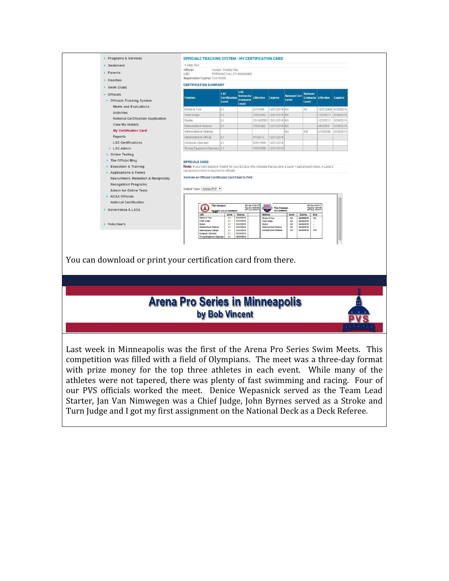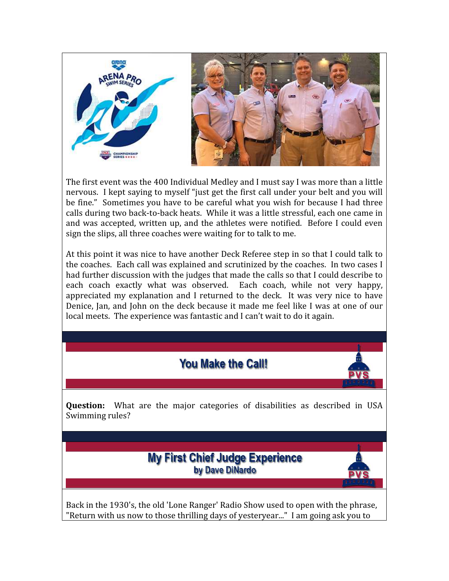

The first event was the 400 Individual Medley and I must say I was more than a little nervous. I kept saying to myself "just get the first call under your belt and you will be fine." Sometimes you have to be careful what you wish for because I had three calls during two back-to-back heats. While it was a little stressful, each one came in and was accepted, written up, and the athletes were notified. Before I could even sign the slips, all three coaches were waiting for to talk to me.

At this point it was nice to have another Deck Referee step in so that I could talk to the coaches. Each call was explained and scrutinized by the coaches. In two cases I had further discussion with the judges that made the calls so that I could describe to each coach exactly what was observed. Each coach, while not very happy, appreciated my explanation and I returned to the deck. It was very nice to have Denice, Jan, and John on the deck because it made me feel like I was at one of our local meets. The experience was fantastic and I can't wait to do it again.

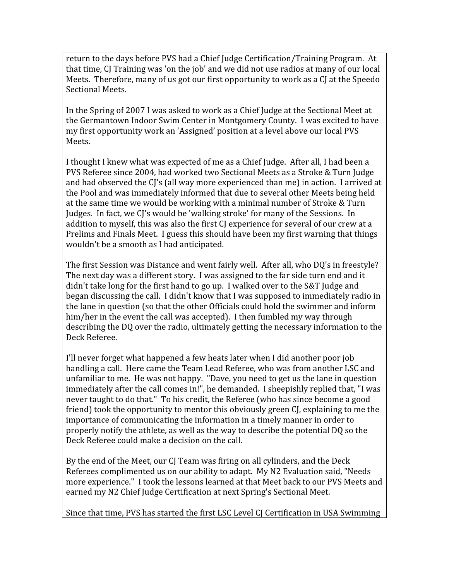return to the days before PVS had a Chief Judge Certification/Training Program. At that time, CJ Training was 'on the job' and we did not use radios at many of our local Meets. Therefore, many of us got our first opportunity to work as a CJ at the Speedo Sectional Meets.

In the Spring of 2007 I was asked to work as a Chief Judge at the Sectional Meet at the Germantown Indoor Swim Center in Montgomery County. I was excited to have my first opportunity work an 'Assigned' position at a level above our local PVS Meets.

I thought I knew what was expected of me as a Chief Judge. After all, I had been a PVS Referee since 2004, had worked two Sectional Meets as a Stroke & Turn Judge and had observed the CJ's (all way more experienced than me) in action. I arrived at the Pool and was immediately informed that due to several other Meets being held at the same time we would be working with a minimal number of Stroke & Turn Judges. In fact, we CJ's would be 'walking stroke' for many of the Sessions. In addition to myself, this was also the first CJ experience for several of our crew at a Prelims and Finals Meet. I guess this should have been my first warning that things wouldn't be a smooth as I had anticipated.

The first Session was Distance and went fairly well. After all, who DQ's in freestyle? The next day was a different story. I was assigned to the far side turn end and it didn't take long for the first hand to go up. I walked over to the S&T Judge and began discussing the call. I didn't know that I was supposed to immediately radio in the lane in question (so that the other Officials could hold the swimmer and inform him/her in the event the call was accepted). I then fumbled my way through describing the DQ over the radio, ultimately getting the necessary information to the Deck Referee.

I'll never forget what happened a few heats later when I did another poor job handling a call. Here came the Team Lead Referee, who was from another LSC and unfamiliar to me. He was not happy. "Dave, you need to get us the lane in question immediately after the call comes in!", he demanded. I sheepishly replied that, "I was never taught to do that." To his credit, the Referee (who has since become a good friend) took the opportunity to mentor this obviously green CJ, explaining to me the importance of communicating the information in a timely manner in order to properly notify the athlete, as well as the way to describe the potential DQ so the Deck Referee could make a decision on the call.

By the end of the Meet, our CJ Team was firing on all cylinders, and the Deck Referees complimented us on our ability to adapt. My N2 Evaluation said, "Needs more experience." I took the lessons learned at that Meet back to our PVS Meets and earned my N2 Chief Judge Certification at next Spring's Sectional Meet.

Since that time, PVS has started the first LSC Level CJ Certification in USA Swimming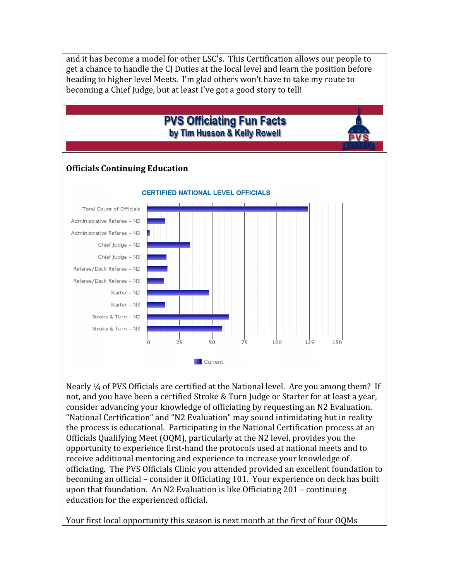

Nearly ¼ of PVS Officials are certified at the National level. Are you among them? If not, and you have been a certified Stroke & Turn Judge or Starter for at least a year, consider advancing your knowledge of officiating by requesting an N2 Evaluation. "National Certification" and "N2 Evaluation" may sound intimidating but in reality the process is educational. Participating in the National Certification process at an Officials Qualifying Meet (OQM), particularly at the N2 level, provides you the opportunity to experience first-hand the protocols used at national meets and to receive additional mentoring and experience to increase your knowledge of officiating. The PVS Officials Clinic you attended provided an excellent foundation to becoming an official – consider it Officiating 101. Your experience on deck has built upon that foundation. An N2 Evaluation is like Officiating 201 – continuing education for the experienced official.

Your first local opportunity this season is next month at the first of four OQMs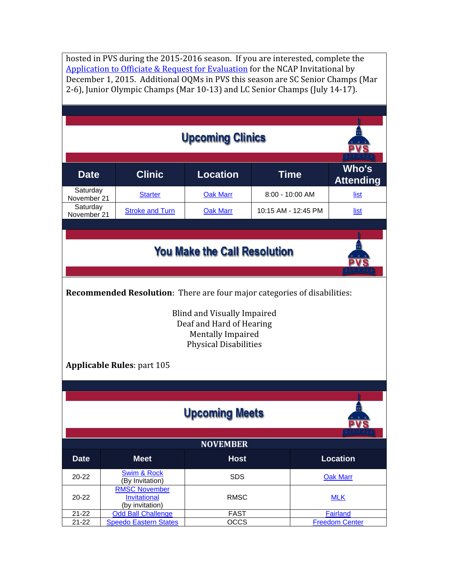hosted in PVS during the 2015-2016 season. If you are interested, complete the Application to Officiate & Request for Evaluation for the NCAP Invitational by December 1, 2015. Additional OQMs in PVS this season are SC Senior Champs (Mar 2-6), Junior Olympic Champs (Mar 10-13) and LC Senior Champs (July 14-17).

| <b>Upcoming Clinics</b>                                                                                                    |                                                                |                     |                       |                           |  |  |
|----------------------------------------------------------------------------------------------------------------------------|----------------------------------------------------------------|---------------------|-----------------------|---------------------------|--|--|
| <b>Date</b>                                                                                                                | <b>Clinic</b>                                                  | <b>Location</b>     | <b>Time</b>           | Who's<br><b>Attending</b> |  |  |
| Saturday<br>November 21                                                                                                    | <b>Starter</b>                                                 | <b>Oak Marr</b>     | 8:00 - 10:00 AM       | <u>list</u>               |  |  |
| Saturday<br>November 21                                                                                                    | <b>Stroke and Turn</b>                                         | <b>Oak Marr</b>     | 10:15 AM - 12:45 PM   | list                      |  |  |
|                                                                                                                            |                                                                |                     |                       |                           |  |  |
| <b>You Make the Call Resolution</b>                                                                                        |                                                                |                     |                       |                           |  |  |
| Recommended Resolution: There are four major categories of disabilities:                                                   |                                                                |                     |                       |                           |  |  |
| <b>Blind and Visually Impaired</b><br>Deaf and Hard of Hearing<br><b>Mentally Impaired</b><br><b>Physical Disabilities</b> |                                                                |                     |                       |                           |  |  |
|                                                                                                                            | <b>Applicable Rules: part 105</b>                              |                     |                       |                           |  |  |
|                                                                                                                            |                                                                |                     |                       |                           |  |  |
| <b>Upcoming Meets</b>                                                                                                      |                                                                |                     |                       |                           |  |  |
| <b>NOVEMBER</b>                                                                                                            |                                                                |                     |                       |                           |  |  |
| <b>Date</b>                                                                                                                | <b>Meet</b>                                                    | <b>Host</b>         |                       | <b>Location</b>           |  |  |
| $20 - 22$                                                                                                                  | <b>Swim &amp; Rock</b><br>(By Invitation)                      | <b>SDS</b>          |                       | <b>Oak Marr</b>           |  |  |
| 20-22                                                                                                                      | <b>RMSC November</b><br><b>Invitational</b><br>(by invitation) | <b>RMSC</b>         |                       | <b>MLK</b>                |  |  |
| $21 - 22$                                                                                                                  | Odd Ball Challenge<br><b>Speedo Eastern States</b>             | <b>FAST</b><br>OCCS | <b>Freedom Center</b> | <b>Fairland</b>           |  |  |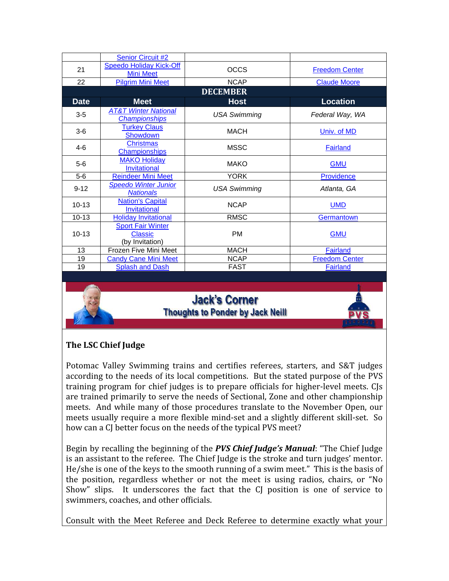|                 | <b>Senior Circuit #2</b>                                      |                     |                       |  |  |  |  |
|-----------------|---------------------------------------------------------------|---------------------|-----------------------|--|--|--|--|
| 21              | <b>Speedo Holiday Kick-Off</b><br><b>Mini Meet</b>            | <b>OCCS</b>         | <b>Freedom Center</b> |  |  |  |  |
| 22              | <b>Pilgrim Mini Meet</b>                                      | <b>NCAP</b>         | <b>Claude Moore</b>   |  |  |  |  |
| <b>DECEMBER</b> |                                                               |                     |                       |  |  |  |  |
| <b>Date</b>     | <b>Meet</b>                                                   | <b>Host</b>         | <b>Location</b>       |  |  |  |  |
| $3-5$           | <b>AT&amp;T Winter National</b><br><b>Championships</b>       | <b>USA Swimming</b> | Federal Way, WA       |  |  |  |  |
| $3-6$           | <b>Turkey Claus</b><br>Showdown                               | <b>MACH</b>         | Univ. of MD           |  |  |  |  |
| $4-6$           | <b>Christmas</b><br><b>Championships</b>                      | <b>MSSC</b>         | Fairland              |  |  |  |  |
| $5-6$           | <b>MAKO Holiday</b><br><b>Invitational</b>                    | <b>MAKO</b>         | <b>GMU</b>            |  |  |  |  |
| $5-6$           | <b>Reindeer Mini Meet</b>                                     | <b>YORK</b>         | Providence            |  |  |  |  |
| $9 - 12$        | <b>Speedo Winter Junior</b><br><b>Nationals</b>               | <b>USA Swimming</b> | Atlanta, GA           |  |  |  |  |
| $10-13$         | <b>Nation's Capital</b><br><b>Invitational</b>                | <b>NCAP</b>         | <b>UMD</b>            |  |  |  |  |
| $10 - 13$       | <b>Holiday Invitational</b>                                   | <b>RMSC</b>         | Germantown            |  |  |  |  |
| $10 - 13$       | <b>Sport Fair Winter</b><br><b>Classic</b><br>(by Invitation) | <b>PM</b>           | <b>GMU</b>            |  |  |  |  |
| 13              | Frozen Five Mini Meet                                         | <b>MACH</b>         | Fairland              |  |  |  |  |
| 19              | <b>Candy Cane Mini Meet</b>                                   | <b>NCAP</b>         | <b>Freedom Center</b> |  |  |  |  |
| 19              | <b>Splash and Dash</b>                                        | <b>FAST</b>         | <b>Fairland</b>       |  |  |  |  |

## **Jack's Corner Thoughts to Ponder by Jack Neill**



### The LSC Chief Judge

Potomac Valley Swimming trains and certifies referees, starters, and S&T judges according to the needs of its local competitions. But the stated purpose of the PVS training program for chief judges is to prepare officials for higher-level meets. CJs are trained primarily to serve the needs of Sectional, Zone and other championship meets. And while many of those procedures translate to the November Open, our meets usually require a more flexible mind-set and a slightly different skill-set. So how can a CJ better focus on the needs of the typical PVS meet?

Begin by recalling the beginning of the *PVS Chief Judge's Manual*: "The Chief Judge is an assistant to the referee. The Chief Judge is the stroke and turn judges' mentor. He/she is one of the keys to the smooth running of a swim meet." This is the basis of the position, regardless whether or not the meet is using radios, chairs, or "No Show" slips. It underscores the fact that the CJ position is one of service to swimmers, coaches, and other officials.

Consult with the Meet Referee and Deck Referee to determine exactly what your